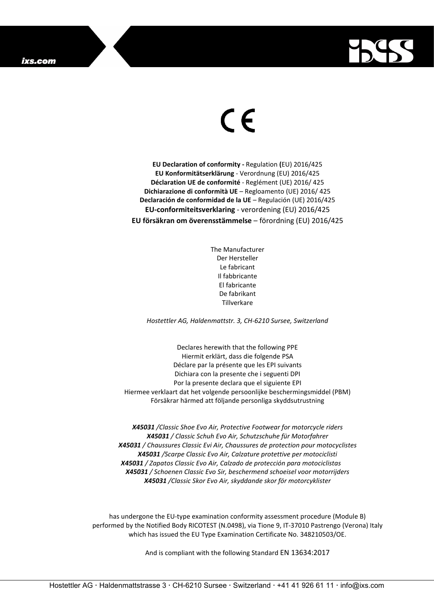

## $\epsilon$

**EU Declaration of conformity -** Regulation **(**EU) 2016/425 **EU Konformitätserklärung** - Verordnung (EU) 2016/425 **Déclaration UE de conformité** - Reglément (UE) 2016/ 425 **Dichiarazione di conformità UE** – Regloamento (UE) 2016/ 425 **Declaración de conformidad de la UE** – Regulación (UE) 2016/425 **EU-conformiteitsverklaring** - verordening (EU) 2016/425 **EU försäkran om överensstämmelse** – förordning (EU) 2016/425

> The Manufacturer Der Hersteller Le fabricant Il fabbricante El fabricante De fabrikant Tillverkare

*Hostettler AG, Haldenmattstr. 3, CH-6210 Sursee, Switzerland*

Declares herewith that the following PPE Hiermit erklärt, dass die folgende PSA Déclare par la présente que les EPI suivants Dichiara con la presente che i seguenti DPI Por la presente declara que el siguiente EPI Hiermee verklaart dat het volgende persoonlijke beschermingsmiddel (PBM) Försäkrar härmed att följande personliga skyddsutrustning

*X45031 /Classic Shoe Evo Air, Protective Footwear for motorcycle riders X45031 / Classic Schuh Evo Air, Schutzschuhe für Motorfahrer X45031 / Chaussures Classic Evi Air, Chaussures de protection pour motocyclistes X45031 /Scarpe Classic Evo Air, Calzature protettive per motociclisti X45031 / Zapatos Classic Evo Air, Calzado de protección para motociclistas X45031 / Schoenen Classic Evo Sir, beschermend schoeisel voor motorrijders X45031 /Classic Skor Evo Air, skyddande skor för motorcyklister*

has undergone the EU-type examination conformity assessment procedure (Module B) performed by the Notified Body RICOTEST (N.0498), via Tione 9, IT-37010 Pastrengo (Verona) Italy which has issued the EU Type Examination Certificate No. 348210503/OE.

And is compliant with the following Standard EN 13634:2017